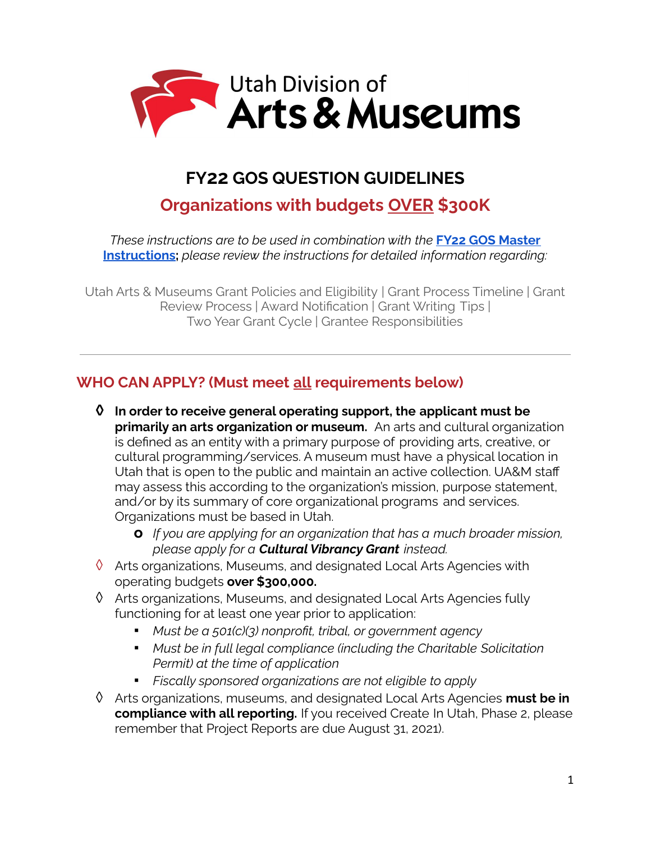

# **FY22 GOS QUESTION GUIDELINES**

# **Organizations with budgets OVER \$300K**

*These instructions are to be used in combination with the* **FY22 GOS [Master](https://artsandmuseums.utah.gov/wp-content/uploads/2021/06/FY22-GOS-MASTER-GUIDELINES-2.pdf) [Instructions](https://artsandmuseums.utah.gov/wp-content/uploads/2021/06/FY22-GOS-MASTER-GUIDELINES-2.pdf);** *please review the instructions for detailed information regarding:*

Utah Arts & Museums Grant Policies and Eligibility | Grant Process Timeline | Grant Review Process | Award Notification | Grant Writing Tips | Two Year Grant Cycle | Grantee Responsibilities

# **WHO CAN APPLY? (Must meet all requirements below)**

- **◊ In order to receive general operating support, the applicant must be primarily an arts organization or museum.** An arts and cultural organization is defined as an entity with a primary purpose of providing arts, creative, or cultural programming/services. A museum must have a physical location in Utah that is open to the public and maintain an active collection. UA&M staff may assess this according to the organization's mission, purpose statement, and/or by its summary of core organizational programs and services. Organizations must be based in Utah.
	- **o** *If you are applying for an organization that has a much broader mission, please apply for a Cultural Vibrancy Grant instead.*
- $\Diamond$  Arts organizations, Museums, and designated Local Arts Agencies with operating budgets **over \$300,000.**
- ◊ Arts organizations, Museums, and designated Local Arts Agencies fully functioning for at least one year prior to application:
	- *▪ Must be a 501(c)(3) nonprofit, tribal, or government agency*
	- *▪ Must be in full legal compliance (including the Charitable Solicitation Permit) at the time of application*
	- *▪ Fiscally sponsored organizations are not eligible to apply*
- ◊ Arts organizations, museums, and designated Local Arts Agencies **must be in compliance with all reporting.** If you received Create In Utah, Phase 2, please remember that Project Reports are due August 31, 2021).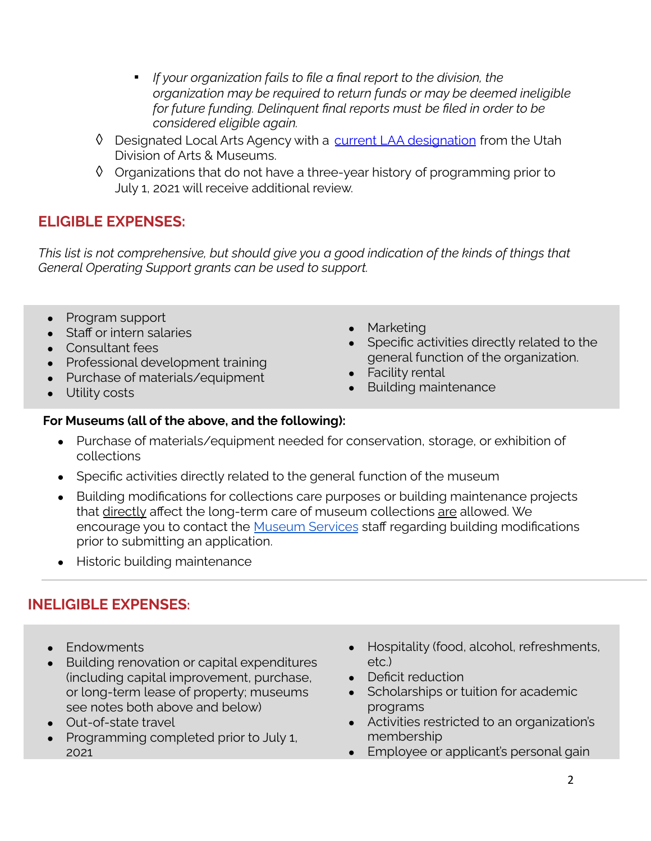- *▪ If your organization fails to file a final report to the division, the organization may be required to return funds or may be deemed ineligible for future funding. Delinquent final reports must be filed in order to be considered eligible again.*
- ◊ Designated Local Arts Agency with a current LAA [designation](https://artsandmuseums.utah.gov/local-arts-agencies/) from the Utah Division of Arts & Museums.
- ◊ Organizations that do not have a three-year history of programming prior to July 1, 2021 will receive additional review.

# **ELIGIBLE EXPENSES:**

*This list is not comprehensive, but should give you a good indication of the kinds of things that General Operating Support grants can be used to support.*

- Program support
- Staff or intern salaries
- Consultant fees
- Professional development training
- Purchase of materials/equipment
- Utility costs
- **Marketing**
- Specific activities directly related to the general function of the organization.
- Facility rental
- **Building maintenance**

### **For Museums (all of the above, and the following):**

- Purchase of materials/equipment needed for conservation, storage, or exhibition of collections
- Specific activities directly related to the general function of the museum
- Building modifications for collections care purposes or building maintenance projects that directly affect the long-term care of museum collections are allowed. We encourage you to contact the [Museum](https://artsandmuseums.utah.gov/museums/) Services staff regarding building modifications prior to submitting an application.
- Historic building maintenance

# **INELIGIBLE EXPENSES:**

- Endowments
- Building renovation or capital expenditures (including capital improvement, purchase, or long-term lease of property; museums see notes both above and below)
- Out-of-state travel
- Programming completed prior to July 1, 2021
- Hospitality (food, alcohol, refreshments, etc.)
- Deficit reduction
- Scholarships or tuition for academic programs
- Activities restricted to an organization's membership
- Employee or applicant's personal gain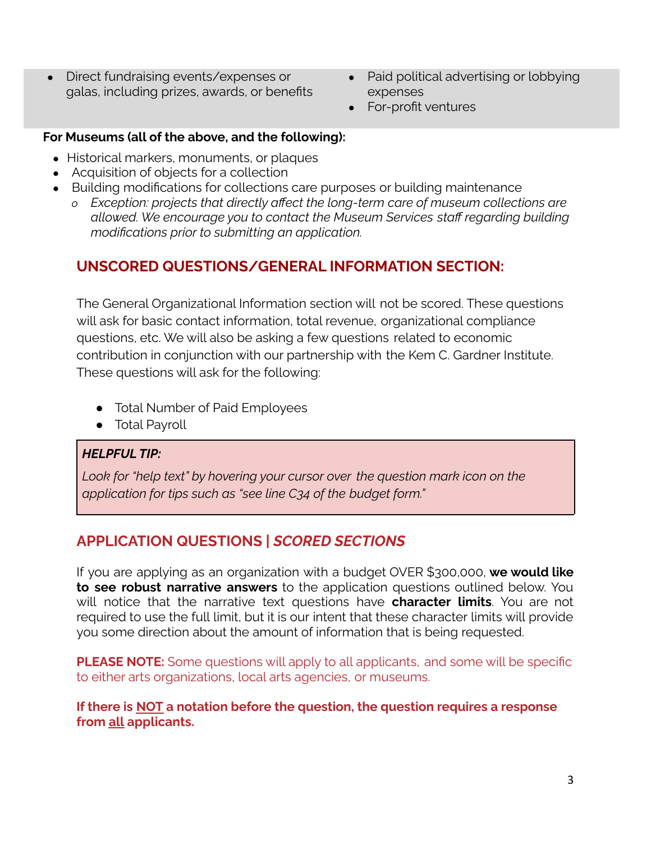- Direct fundraising events/expenses or galas, including prizes, awards, or benefits
- Paid political advertising or lobbying expenses
- For-profit ventures

### **For Museums (all of the above, and the following):**

- Historical markers, monuments, or plaques
- Acquisition of objects for a collection
- Building modifications for collections care purposes or building maintenance
	- *o Exception: projects that directly affect the long-term care of museum collections are allowed. We encourage you to contact the Museum Services staff regarding building modifications prior to submitting an application.*

## **UNSCORED QUESTIONS/GENERAL INFORMATION SECTION:**

The General Organizational Information section will not be scored. These questions will ask for basic contact information, total revenue, organizational compliance questions, etc. We will also be asking a few questions related to economic contribution in conjunction with our partnership with the Kem C. Gardner Institute. These questions will ask for the following:

- Total Number of Paid Employees
- Total Payroll

### *HELPFUL TIP:*

*Look for "help text" by hovering your cursor over the question mark icon on the application for tips such as "see line C34 of the budget form."*

## **APPLICATION QUESTIONS |** *SCORED SECTIONS*

If you are applying as an organization with a budget OVER \$300,000, **we would like to see robust narrative answers** to the application questions outlined below. You will notice that the narrative text questions have **character limits**. You are not required to use the full limit, but it is our intent that these character limits will provide you some direction about the amount of information that is being requested.

**PLEASE NOTE:** Some questions will apply to all applicants, and some will be specific to either arts organizations, local arts agencies, or museums.

**If there is NOT a notation before the question, the question requires a response from all applicants.**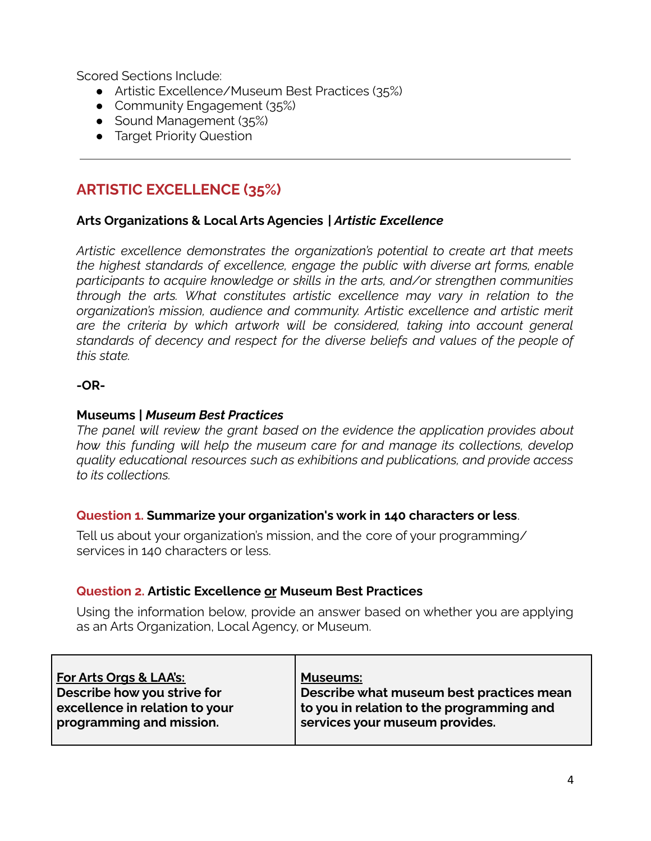Scored Sections Include:

- Artistic Excellence/Museum Best Practices (35%)
- Community Engagement (35%)
- Sound Management (35%)
- **•** Target Priority Question

# **ARTISTIC EXCELLENCE (35%)**

### **Arts Organizations & Local Arts Agencies** *| Artistic Excellence*

*Artistic excellence demonstrates the organization's potential to create art that meets the highest standards of excellence, engage the public with diverse art forms, enable participants to acquire knowledge or skills in the arts, and/or strengthen communities through the arts. What constitutes artistic excellence may vary in relation to the organization's mission, audience and community. Artistic excellence and artistic merit are the criteria by which artwork will be considered, taking into account general standards of decency and respect for the diverse beliefs and values of the people of this state.*

#### **-OR-**

#### **Museums** *| Museum Best Practices*

*The panel will review the grant based on the evidence the application provides about how this funding will help the museum care for and manage its collections, develop quality educational resources such as exhibitions and publications, and provide access to its collections.*

#### **Question 1. Summarize your organization's work in 140 characters or less**.

Tell us about your organization's mission, and the core of your programming/ services in 140 characters or less.

### **Question 2. Artistic Excellence or Museum Best Practices**

Using the information below, provide an answer based on whether you are applying as an Arts Organization, Local Agency, or Museum.

| For Arts Orgs & LAA's:         | <b>Museums:</b>                           |
|--------------------------------|-------------------------------------------|
| Describe how you strive for    | Describe what museum best practices mean  |
| excellence in relation to your | to you in relation to the programming and |
| programming and mission.       | services your museum provides.            |
|                                |                                           |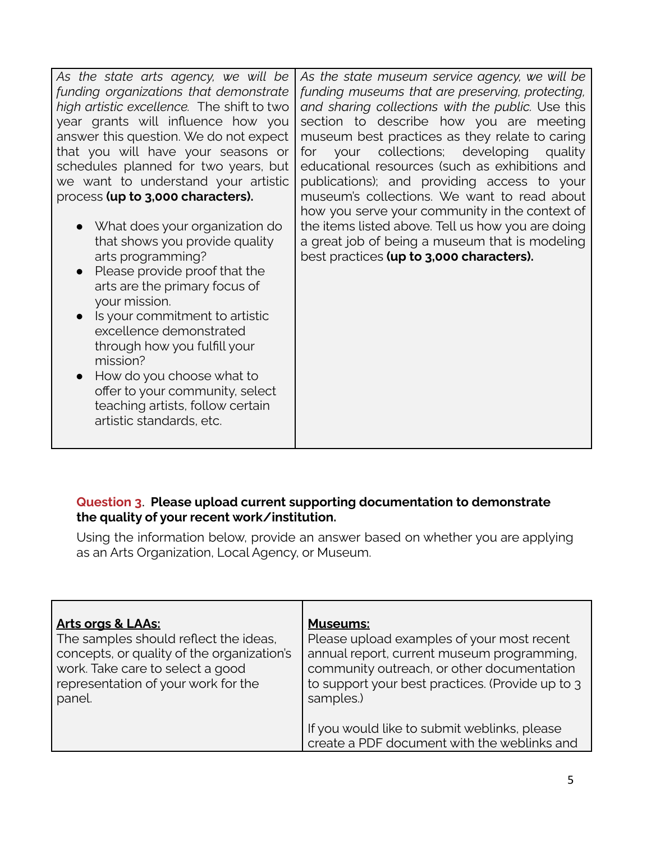| As the state arts agency, we will be<br>funding organizations that demonstrate<br>high artistic excellence. The shift to two<br>year grants will influence how you<br>answer this question. We do not expect<br>that you will have your seasons or<br>schedules planned for two years, but<br>we want to understand your artistic<br>process (up to 3,000 characters).<br>• What does your organization do | As the state museum service agency, we will be<br>funding museums that are preserving, protecting,<br>and sharing collections with the public. Use this<br>section to describe how you are meeting<br>museum best practices as they relate to caring<br>your collections; developing quality<br>for<br>educational resources (such as exhibitions and<br>publications); and providing access to your<br>museum's collections. We want to read about<br>how you serve your community in the context of<br>the items listed above. Tell us how you are doing |
|------------------------------------------------------------------------------------------------------------------------------------------------------------------------------------------------------------------------------------------------------------------------------------------------------------------------------------------------------------------------------------------------------------|------------------------------------------------------------------------------------------------------------------------------------------------------------------------------------------------------------------------------------------------------------------------------------------------------------------------------------------------------------------------------------------------------------------------------------------------------------------------------------------------------------------------------------------------------------|
| that shows you provide quality                                                                                                                                                                                                                                                                                                                                                                             | a great job of being a museum that is modeling                                                                                                                                                                                                                                                                                                                                                                                                                                                                                                             |
|                                                                                                                                                                                                                                                                                                                                                                                                            |                                                                                                                                                                                                                                                                                                                                                                                                                                                                                                                                                            |
| arts programming?                                                                                                                                                                                                                                                                                                                                                                                          | best practices (up to 3,000 characters).                                                                                                                                                                                                                                                                                                                                                                                                                                                                                                                   |
| Please provide proof that the<br>$\bullet$                                                                                                                                                                                                                                                                                                                                                                 |                                                                                                                                                                                                                                                                                                                                                                                                                                                                                                                                                            |
| arts are the primary focus of<br>your mission.                                                                                                                                                                                                                                                                                                                                                             |                                                                                                                                                                                                                                                                                                                                                                                                                                                                                                                                                            |
|                                                                                                                                                                                                                                                                                                                                                                                                            |                                                                                                                                                                                                                                                                                                                                                                                                                                                                                                                                                            |
| Is your commitment to artistic<br>excellence demonstrated                                                                                                                                                                                                                                                                                                                                                  |                                                                                                                                                                                                                                                                                                                                                                                                                                                                                                                                                            |
|                                                                                                                                                                                                                                                                                                                                                                                                            |                                                                                                                                                                                                                                                                                                                                                                                                                                                                                                                                                            |
| through how you fulfill your<br>mission?                                                                                                                                                                                                                                                                                                                                                                   |                                                                                                                                                                                                                                                                                                                                                                                                                                                                                                                                                            |
| How do you choose what to                                                                                                                                                                                                                                                                                                                                                                                  |                                                                                                                                                                                                                                                                                                                                                                                                                                                                                                                                                            |
| offer to your community, select                                                                                                                                                                                                                                                                                                                                                                            |                                                                                                                                                                                                                                                                                                                                                                                                                                                                                                                                                            |
| teaching artists, follow certain                                                                                                                                                                                                                                                                                                                                                                           |                                                                                                                                                                                                                                                                                                                                                                                                                                                                                                                                                            |
| artistic standards, etc.                                                                                                                                                                                                                                                                                                                                                                                   |                                                                                                                                                                                                                                                                                                                                                                                                                                                                                                                                                            |
|                                                                                                                                                                                                                                                                                                                                                                                                            |                                                                                                                                                                                                                                                                                                                                                                                                                                                                                                                                                            |

### **Question 3**. **Please upload current supporting documentation to demonstrate the quality of your recent work/institution.**

Using the information below, provide an answer based on whether you are applying as an Arts Organization, Local Agency, or Museum.

| <b>Arts orgs &amp; LAAs:</b>               | <b>Museums:</b>                                                                             |
|--------------------------------------------|---------------------------------------------------------------------------------------------|
| The samples should reflect the ideas,      | Please upload examples of your most recent                                                  |
| concepts, or quality of the organization's | annual report, current museum programming,                                                  |
| work. Take care to select a good           | community outreach, or other documentation                                                  |
| representation of your work for the        | to support your best practices. (Provide up to 3                                            |
| panel.                                     | samples.)                                                                                   |
|                                            | If you would like to submit weblinks, please<br>create a PDF document with the weblinks and |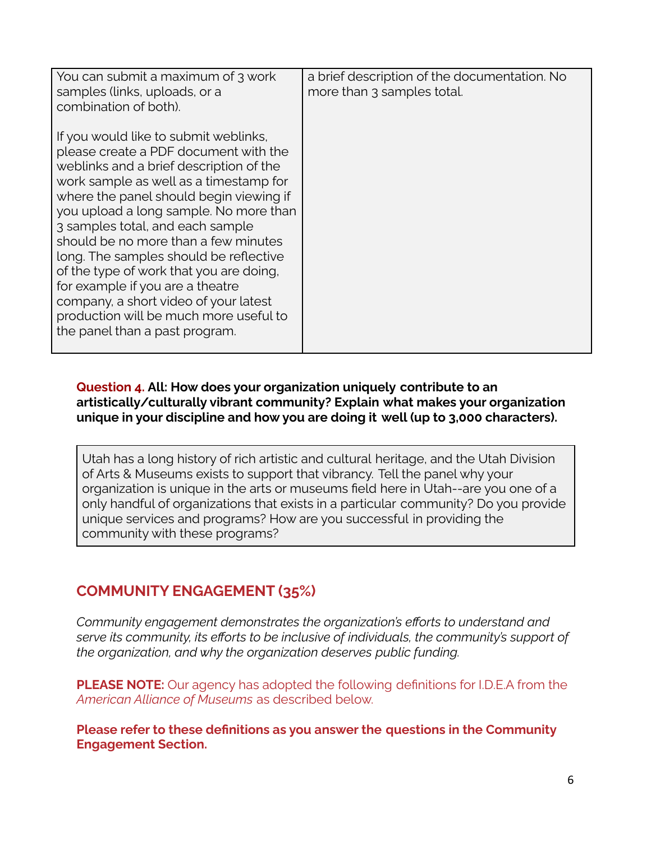| You can submit a maximum of 3 work      | a brief description of the documentation. No |
|-----------------------------------------|----------------------------------------------|
| samples (links, uploads, or a           | more than 3 samples total.                   |
| combination of both).                   |                                              |
|                                         |                                              |
|                                         |                                              |
| If you would like to submit weblinks,   |                                              |
| please create a PDF document with the   |                                              |
| weblinks and a brief description of the |                                              |
| work sample as well as a timestamp for  |                                              |
|                                         |                                              |
| where the panel should begin viewing if |                                              |
| you upload a long sample. No more than  |                                              |
| 3 samples total, and each sample        |                                              |
| should be no more than a few minutes    |                                              |
| long. The samples should be reflective  |                                              |
| of the type of work that you are doing, |                                              |
|                                         |                                              |
| for example if you are a theatre        |                                              |
| company, a short video of your latest   |                                              |
| production will be much more useful to  |                                              |
| the panel than a past program.          |                                              |
|                                         |                                              |
|                                         |                                              |

### **Question 4. All: How does your organization uniquely contribute to an artistically/culturally vibrant community? Explain what makes your organization unique in your discipline and how you are doing it well (up to 3,000 characters).**

Utah has a long history of rich artistic and cultural heritage, and the Utah Division of Arts & Museums exists to support that vibrancy. Tell the panel why your organization is unique in the arts or museums field here in Utah--are you one of a only handful of organizations that exists in a particular community? Do you provide unique services and programs? How are you successful in providing the community with these programs?

# **COMMUNITY ENGAGEMENT (35%)**

*Community engagement demonstrates the organization's efforts to understand and serve its community, its efforts to be inclusive of individuals, the community's support of the organization, and why the organization deserves public funding.*

**PLEASE NOTE:** Our agency has adopted the following definitions for I.D.E.A from the *American Alliance of Museums* as described below.

**Please refer to these definitions as you answer the questions in the Community Engagement Section.**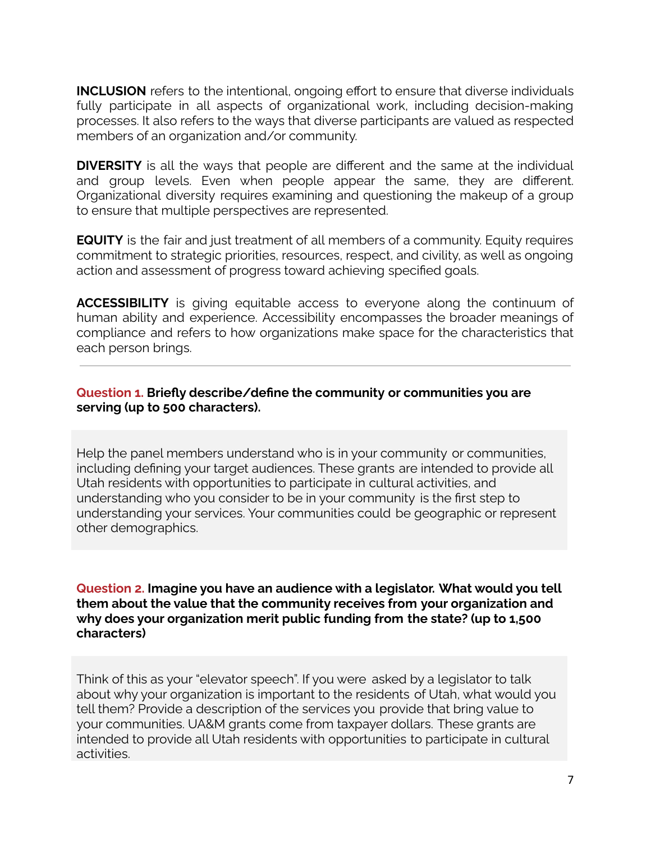**INCLUSION** refers to the intentional, ongoing effort to ensure that diverse individuals fully participate in all aspects of organizational work, including decision-making processes. It also refers to the ways that diverse participants are valued as respected members of an organization and/or community.

**DIVERSITY** is all the ways that people are different and the same at the individual and group levels. Even when people appear the same, they are different. Organizational diversity requires examining and questioning the makeup of a group to ensure that multiple perspectives are represented.

**EQUITY** is the fair and just treatment of all members of a community. Equity requires commitment to strategic priorities, resources, respect, and civility, as well as ongoing action and assessment of progress toward achieving specified goals.

**ACCESSIBILITY** is giving equitable access to everyone along the continuum of human ability and experience. Accessibility encompasses the broader meanings of compliance and refers to how organizations make space for the characteristics that each person brings.

### **Question 1. Briefly describe/define the community or communities you are serving (up to 500 characters).**

Help the panel members understand who is in your community or communities, including defining your target audiences. These grants are intended to provide all Utah residents with opportunities to participate in cultural activities, and understanding who you consider to be in your community is the first step to understanding your services. Your communities could be geographic or represent other demographics.

**Question 2. Imagine you have an audience with a legislator. What would you tell them about the value that the community receives from your organization and why does your organization merit public funding from the state? (up to 1,500 characters)**

Think of this as your "elevator speech". If you were asked by a legislator to talk about why your organization is important to the residents of Utah, what would you tell them? Provide a description of the services you provide that bring value to your communities. UA&M grants come from taxpayer dollars. These grants are intended to provide all Utah residents with opportunities to participate in cultural activities.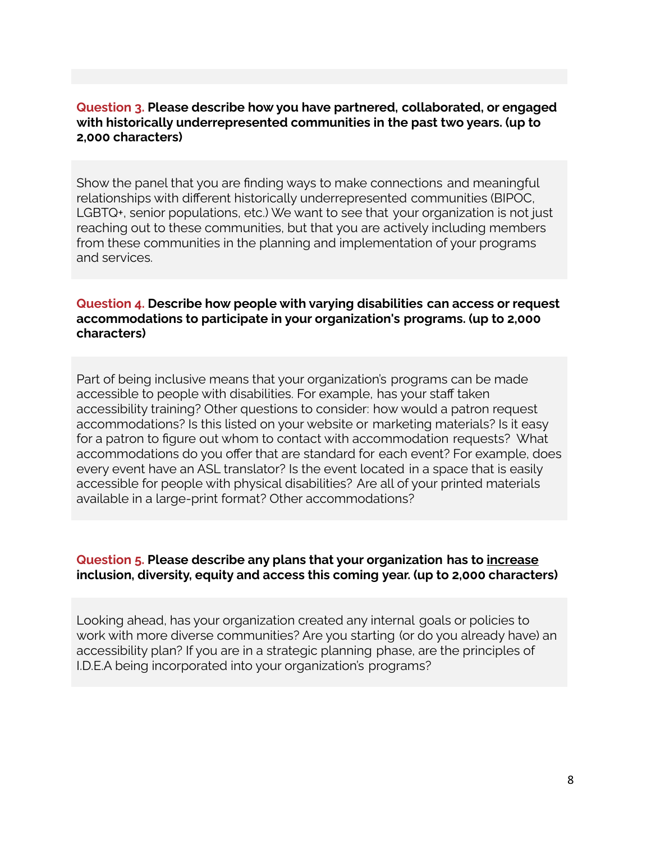#### **Question 3. Please describe how you have partnered, collaborated, or engaged with historically underrepresented communities in the past two years. (up to 2,000 characters)**

Show the panel that you are finding ways to make connections and meaningful relationships with different historically underrepresented communities (BIPOC, LGBTQ+, senior populations, etc.) We want to see that your organization is not just reaching out to these communities, but that you are actively including members from these communities in the planning and implementation of your programs and services.

#### **Question 4. Describe how people with varying disabilities can access or request accommodations to participate in your organization's programs. (up to 2,000 characters)**

Part of being inclusive means that your organization's programs can be made accessible to people with disabilities. For example, has your staff taken accessibility training? Other questions to consider: how would a patron request accommodations? Is this listed on your website or marketing materials? Is it easy for a patron to figure out whom to contact with accommodation requests? What accommodations do you offer that are standard for each event? For example, does every event have an ASL translator? Is the event located in a space that is easily accessible for people with physical disabilities? Are all of your printed materials available in a large-print format? Other accommodations?

#### **Question 5. Please describe any plans that your organization has to increase inclusion, diversity, equity and access this coming year. (up to 2,000 characters)**

Looking ahead, has your organization created any internal goals or policies to work with more diverse communities? Are you starting (or do you already have) an accessibility plan? If you are in a strategic planning phase, are the principles of I.D.E.A being incorporated into your organization's programs?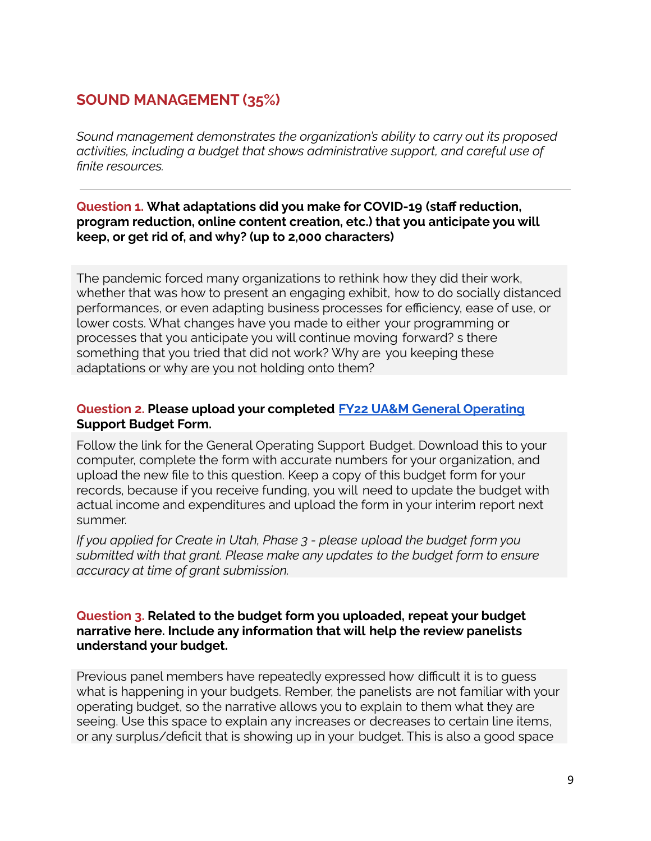# **SOUND MANAGEMENT (35%)**

*Sound management demonstrates the organization's ability to carry out its proposed activities, including a budget that shows administrative support, and careful use of finite resources.*

### **Question 1. What adaptations did you make for COVID-19 (staff reduction, program reduction, online content creation, etc.) that you anticipate you will keep, or get rid of, and why? (up to 2,000 characters)**

The pandemic forced many organizations to rethink how they did their work, whether that was how to present an engaging exhibit, how to do socially distanced performances, or even adapting business processes for efficiency, ease of use, or lower costs. What changes have you made to either your programming or processes that you anticipate you will continue moving forward? s there something that you tried that did not work? Why are you keeping these adaptations or why are you not holding onto them?

### **Question 2. Please upload your completed FY22 UA&M General [Operating](https://artsandmuseums.utah.gov/general-operating-support-gos-grants/) Support Budget Form.**

Follow the link for the General Operating Support Budget. Download this to your computer, complete the form with accurate numbers for your organization, and upload the new file to this question. Keep a copy of this budget form for your records, because if you receive funding, you will need to update the budget with actual income and expenditures and upload the form in your interim report next summer.

*If you applied for Create in Utah, Phase 3 - please upload the budget form you submitted with that grant. Please make any updates to the budget form to ensure accuracy at time of grant submission.*

### **Question 3. Related to the budget form you uploaded, repeat your budget narrative here. Include any information that will help the review panelists understand your budget.**

Previous panel members have repeatedly expressed how difficult it is to guess what is happening in your budgets. Rember, the panelists are not familiar with your operating budget, so the narrative allows you to explain to them what they are seeing. Use this space to explain any increases or decreases to certain line items, or any surplus/deficit that is showing up in your budget. This is also a good space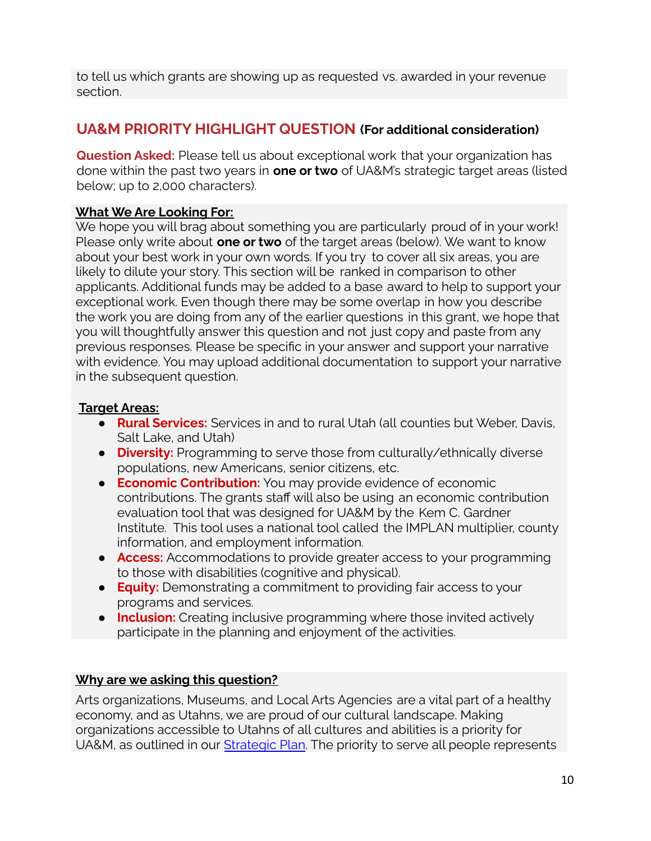to tell us which grants are showing up as requested vs. awarded in your revenue section.

## **UA&M PRIORITY HIGHLIGHT QUESTION (For additional consideration)**

**Question Asked:** Please tell us about exceptional work that your organization has done within the past two years in **one or two** of UA&M's strategic target areas (listed below; up to 2,000 characters).

### **What We Are Looking For:**

We hope you will brag about something you are particularly proud of in your work! Please only write about **one or two** of the target areas (below). We want to know about your best work in your own words. If you try to cover all six areas, you are likely to dilute your story. This section will be ranked in comparison to other applicants. Additional funds may be added to a base award to help to support your exceptional work. Even though there may be some overlap in how you describe the work you are doing from any of the earlier questions in this grant, we hope that you will thoughtfully answer this question and not just copy and paste from any previous responses. Please be specific in your answer and support your narrative with evidence. You may upload additional documentation to support your narrative in the subsequent question.

### **Target Areas:**

- **Rural Services:** Services in and to rural Utah (all counties but Weber, Davis, Salt Lake, and Utah)
- **Diversity:** Programming to serve those from culturally/ethnically diverse populations, new Americans, senior citizens, etc.
- **Economic Contribution:** You may provide evidence of economic contributions. The grants staff will also be using an economic contribution evaluation tool that was designed for UA&M by the Kem C. Gardner Institute. This tool uses a national tool called the IMPLAN multiplier, county information, and employment information.
- **Access:** Accommodations to provide greater access to your programming to those with disabilities (cognitive and physical).
- **Equity:** Demonstrating a commitment to providing fair access to your programs and services.
- **Inclusion:** Creating inclusive programming where those invited actively participate in the planning and enjoyment of the activities.

### **Why are we asking this question?**

Arts organizations, Museums, and Local Arts Agencies are a vital part of a healthy economy, and as Utahns, we are proud of our cultural landscape. Making organizations accessible to Utahns of all cultures and abilities is a priority for UA&M, as outlined in our [Strategic](https://artsandmuseums.utah.gov/strategicplan/) Plan. The priority to serve all people represents